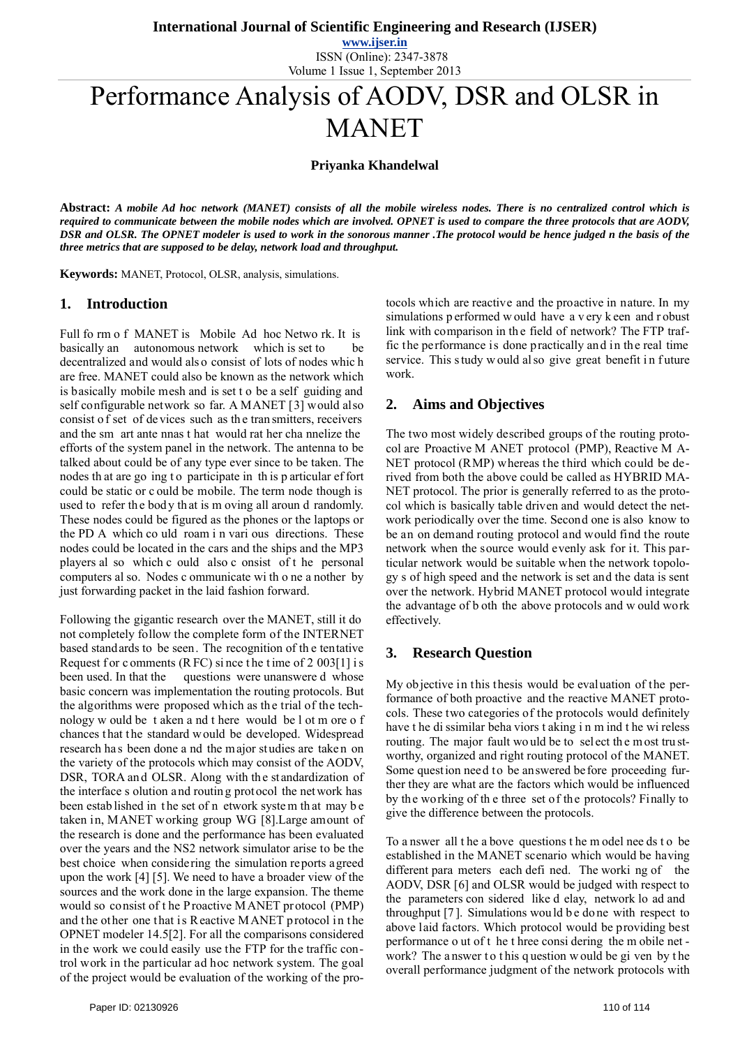**www.ijser.in** ISSN (Online): 2347-3878 Volume 1 Issue 1, September 2013

# Performance Analysis of AODV, DSR and OLSR in MANET

**Priyanka Khandelwal**

**Abstract:** *A mobile Ad hoc network (MANET) consists of all the mobile wireless nodes. There is no centralized control which is required to communicate between the mobile nodes which are involved. OPNET is used to compare the three protocols that are AODV, DSR and OLSR. The OPNET modeler is used to work in the sonorous manner .The protocol would be hence judged n the basis of the three metrics that are supposed to be delay, network load and throughput.* 

**Keywords:** MANET, Protocol, OLSR, analysis, simulations.

#### **1. Introduction**

Full fo rm o f MANET is Mobile Ad hoc Netwo rk. It is basically an autonomous network which is set to be decentralized and would als o consist of lots of nodes whic h are free. MANET could also be known as the network which is basically mobile mesh and is set t o be a self guiding and self configurable network so far. A MANET [3] would also consist o f set of de vices such as th e tran smitters, receivers and the sm art ante nnas t hat would rat her cha nnelize the efforts of the system panel in the network. The antenna to be talked about could be of any type ever since to be taken. The nodes th at are go ing t o participate in th is p articular ef fort could be static or c ould be mobile. The term node though is used to refer the body that is m oving all aroun d randomly. These nodes could be figured as the phones or the laptops or the PD A which co uld roam i n vari ous directions. These nodes could be located in the cars and the ships and the MP3 players al so which c ould also c onsist of t he personal computers al so. Nodes c ommunicate wi th o ne a nother by just forwarding packet in the laid fashion forward.

Following the gigantic research over the MANET, still it do not completely follow the complete form of the INTERNET based standards to be seen. The recognition of th e tentative Request f or c omments (R FC) since the time of  $2.003[1]$  is been used. In that the questions were unanswere d whose basic concern was implementation the routing protocols. But the algorithms were proposed which as th e trial of the technology w ould be t aken a nd t here would be l ot m ore o f chances that the standard w ould be developed. Widespread research has been done a nd the major studies are taken on the variety of the protocols which may consist of the AODV, DSR, TORA and OLSR. Along with the standardization of the interface s olution and routin g protocol the network has been estab lished in the set of n etwork system that may be taken in, MANET working group WG [8].Large amount of the research is done and the performance has been evaluated over the years and the NS2 network simulator arise to be the best choice when considering the simulation reports agreed upon the work [4] [5]. We need to have a broader view of the sources and the work done in the large expansion. The theme would so consist of t he Proactive MANET protocol (PMP) and the other one that is Reactive MANET protocol in the OPNET modeler 14.5[2]. For all the comparisons considered in the work we could easily use the FTP for the traffic control work in the particular ad hoc network system. The goal of the project would be evaluation of the working of the protocols which are reactive and the proactive in nature. In my simulations p erformed w ould have a v ery k een and r obust link with comparison in the field of network? The FTP traffic the performance is done practically and in the real time service. This study w ould also give great benefit in future work.

## **2. Aims and Objectives**

The two most widely described groups of the routing protocol are Proactive M ANET protocol (PMP), Reactive M A-NET protocol (RMP) whereas the third which could be derived from both the above could be called as HYBRID MA-NET protocol. The prior is generally referred to as the protocol which is basically table driven and would detect the network periodically over the time. Second one is also know to be an on demand routing protocol and would find the route network when the source would evenly ask for it. This particular network would be suitable when the network topology s of high speed and the network is set and the data is sent over the network. Hybrid MANET protocol would integrate the advantage of b oth the above protocols and w ould work effectively.

## **3. Research Question**

My objective in this thesis would be evaluation of the performance of both proactive and the reactive MANET protocols. These two categories of the protocols would definitely have t he di ssimilar beha viors t aking i n m ind t he wi reless routing. The major fault wo uld be to sel ect the most trustworthy, organized and right routing protocol of the MANET. Some question need to be answered before proceeding further they are what are the factors which would be influenced by the working of th e three set of the protocols? Finally to give the difference between the protocols.

To a nswer all t he a bove questions t he m odel nee ds t o be established in the MANET scenario which would be having different para meters each defi ned. The worki ng of the AODV, DSR [6] and OLSR would be judged with respect to the parameters con sidered like d elay, network lo ad and throughput [7]. Simulations would be do ne with respect to above laid factors. Which protocol would be providing best performance o ut of t he t hree consi dering the m obile net work? The answer to this question would be given by the overall performance judgment of the network protocols with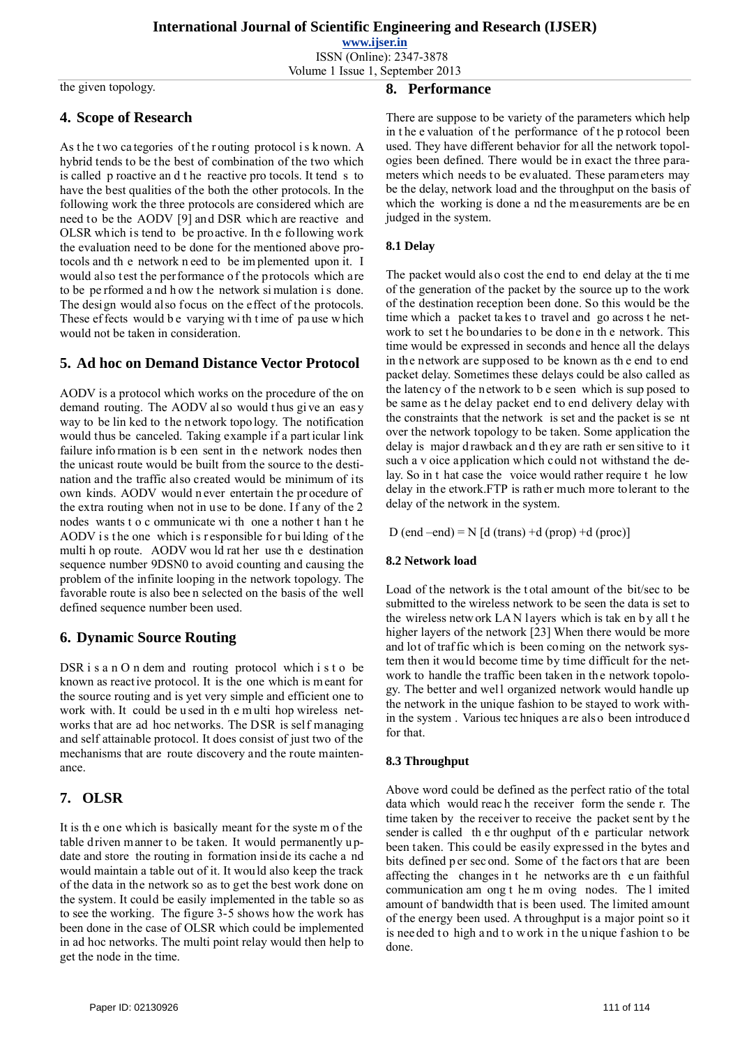**www.ijser.in** ISSN (Online): 2347-3878

Volume 1 Issue 1, September 2013

the given topology.

### **4. Scope of Research**

As the two categories of the routing protocol is known. A hybrid tends to be the best of combination of the two which is called p roactive an d t he reactive pro tocols. It tend s to have the best qualities of the both the other protocols. In the following work the three protocols are considered which are need to be the AODV [9] and DSR which are reactive and OLSR which is tend to be proactive. In th e following work the evaluation need to be done for the mentioned above protocols and th e network n eed to be im plemented upon it. I would also test the performance of the protocols which are to be pe rformed a nd h ow t he network si mulation i s done. The design would also focus on the effect of the protocols. These effects would be varying with time of pa use which would not be taken in consideration.

## **5. Ad hoc on Demand Distance Vector Protocol**

AODV is a protocol which works on the procedure of the on demand routing. The AODV also would thus give an easy way to be lin ked to the network topo logy. The notification would thus be canceled. Taking example if a part icular link failure information is b een sent in the network nodes then the unicast route would be built from the source to the destination and the traffic also created would be minimum of its own kinds. AODV would n ever entertain t he pr ocedure of the extra routing when not in use to be done. If any of the 2 nodes wants t o c ommunicate wi th one a nother t han t he AODV is the one which is responsible for building of the multi h op route. AODV wou ld rat her use th e destination sequence number 9DSN0 to avoid counting and causing the problem of the infinite looping in the network topology. The favorable route is also bee n selected on the basis of the well defined sequence number been used.

## **6. Dynamic Source Routing**

DSR i s a n O n dem and routing protocol which i s t o be known as react ive protocol. It is the one which is m eant for the source routing and is yet very simple and efficient one to work with. It could be used in the multi hop wireless networks that are ad hoc networks. The DSR is self managing and self attainable protocol. It does consist of just two of the mechanisms that are route discovery and the route maintenance.

## **7. OLSR**

It is th e one which is basically meant for the syste m of the table driven manner to be taken. It would permanently update and store the routing in formation insi de its cache a nd would maintain a table out of it. It would also keep the track of the data in the network so as to get the best work done on the system. It could be easily implemented in the table so as to see the working. The figure 3-5 shows how the work has been done in the case of OLSR which could be implemented in ad hoc networks. The multi point relay would then help to get the node in the time.

There are suppose to be variety of the parameters which help in t he e valuation of t he performance of t he p rotocol been used. They have different behavior for all the network topologies been defined. There would be in exact the three parameters which needs to be evaluated. These parameters may be the delay, network load and the throughput on the basis of which the working is done a nd the measurements are be en judged in the system.

#### **8.1 Delay**

**8. Performance** 

The packet would als o cost the end to end delay at the ti me of the generation of the packet by the source up to the work of the destination reception been done. So this would be the time which a packet takes to travel and go across the network to set t he boundaries to be done in th e network. This time would be expressed in seconds and hence all the delays in the network are supposed to be known as th e end to end packet delay. Sometimes these delays could be also called as the latency of the network to b e seen which is sup posed to be same as t he delay packet end to end delivery delay with the constraints that the network is set and the packet is se nt over the network topology to be taken. Some application the delay is major d rawback and they are rath er sen sitive to it such a v oice application which could not withstand the delay. So in t hat case the voice would rather require t he low delay in the etwork.FTP is rath er much more tolerant to the delay of the network in the system.

D (end –end) =  $N$  [d (trans) +d (prop) +d (proc)]

#### **8.2 Network load**

Load of the network is the t otal amount of the bit/sec to be submitted to the wireless network to be seen the data is set to the wireless netw ork LAN layers which is taken by all the higher layers of the network [23] When there would be more and lot of traf fic which is been coming on the network system then it would become time by time difficult for the network to handle the traffic been taken in the network topology. The better and well organized network would handle up the network in the unique fashion to be stayed to work within the system . Various tec hniques a re als o been introduce d for that.

#### **8.3 Throughput**

Above word could be defined as the perfect ratio of the total data which would reac h the receiver form the sende r. The time taken by the receiver to receive the packet sent by t he sender is called th e thr oughput of th e particular network been taken. This could be easily expressed in the bytes and bits defined p er sec ond. Some of t he fact ors t hat are been affecting the changes in t he networks are th e un faithful communication am ong t he m oving nodes. The l imited amount of bandwidth that is been used. The limited amount of the energy been used. A throughput is a major point so it is nee ded to high and to work in the unique fashion to be done.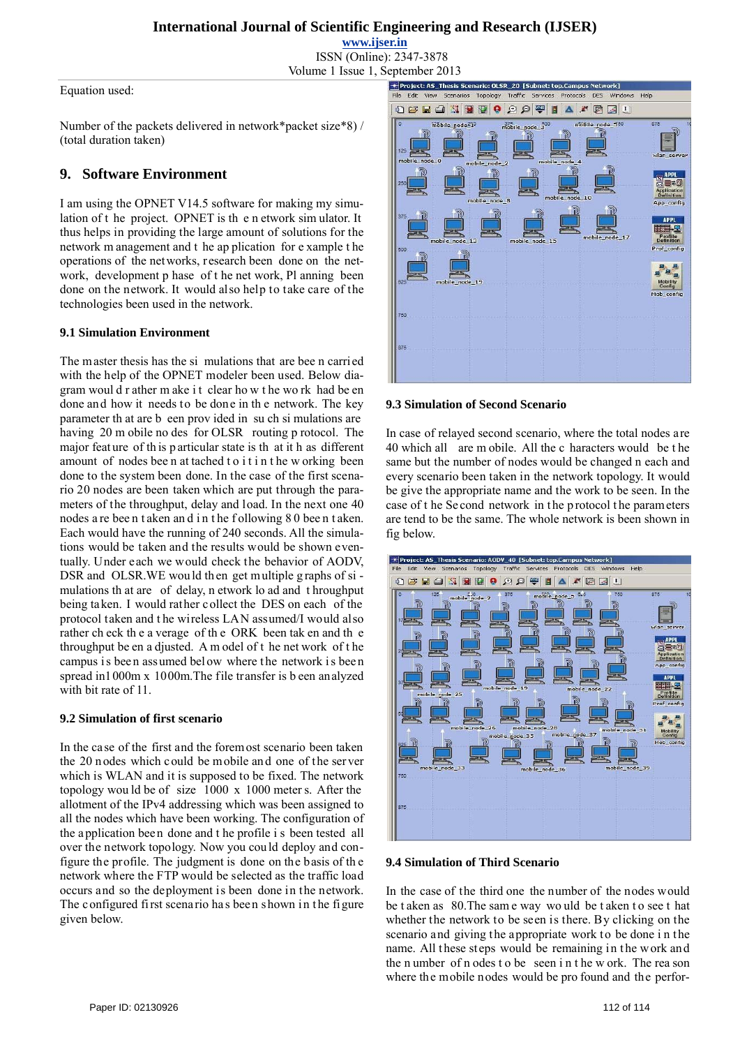**www.ijser.in**

ISSN (Online): 2347-3878 Volume 1 Issue 1, September 2013

Equation used:

Number of the packets delivered in network\*packet size\*8) / (total duration taken)

## **9. Software Environment**

I am using the OPNET V14.5 software for making my simulation of t he project. OPNET is th e n etwork sim ulator. It thus helps in providing the large amount of solutions for the network m anagement and t he ap plication for e xample t he operations of the networks, research been done on the network, development p hase of t he net work, Pl anning been done on the network. It would also help to take care of the technologies been used in the network.

#### **9.1 Simulation Environment**

The master thesis has the si mulations that are bee n carried with the help of the OPNET modeler been used. Below diagram woul d r ather m ake i t clear ho w t he wo rk had be en done and how it needs to be done in th e network. The key parameter th at are b een prov ided in su ch si mulations are having 20 m obile no des for OLSR routing p rotocol. The major feat ure of th is p articular state is th at it h as different amount of nodes bee n at tached t o i t i n t he w orking been done to the system been done. In the case of the first scenario 20 nodes are been taken which are put through the parameters of the throughput, delay and load. In the next one 40 nodes a re bee n t aken an d i n t he f ollowing 8 0 bee n t aken. Each would have the running of 240 seconds. All the simulations would be taken and the results would be shown eventually. Under each we would check the behavior of AODV, DSR and OLSR. WE would then get multiple graphs of simulations th at are of delay, n etwork lo ad and t hroughput being taken. I would rather collect the DES on each of the protocol taken and t he wireless LAN assumed/I would also rather ch eck th e a verage of th e ORK been tak en and th e throughput be en a djusted. A m odel of t he net work of t he campus is been assumed below where the network is been spread in1000m x 1000m.The file transfer is b een analyzed with bit rate of 11.

#### **9.2 Simulation of first scenario**

In the case of the first and the foremost scenario been taken the 20 nodes which could be mobile and one of the server which is WLAN and it is supposed to be fixed. The network topology wou ld be of size 1000 x 1000 meter s. After the allotment of the IPv4 addressing which was been assigned to all the nodes which have been working. The configuration of the application been done and t he profile i s been tested all over the network topology. Now you cou ld deploy and configure the profile. The judgment is done on the basis of th e network where the FTP would be selected as the traffic load occurs and so the deployment is been done in the network. The configured first scenario has been shown in the figure given below.



#### **9.3 Simulation of Second Scenario**

In case of relayed second scenario, where the total nodes are 40 which all are m obile. All the c haracters would be t he same but the number of nodes would be changed n each and every scenario been taken in the network topology. It would be give the appropriate name and the work to be seen. In the case of the Se cond network in the p rotocol the parameters are tend to be the same. The whole network is been shown in fig below.



#### **9.4 Simulation of Third Scenario**

In the case of the third one the number of the nodes would be t aken as 80.The sam e way wo uld be t aken t o see t hat whether the network to be seen is there. By clicking on the scenario and giving the appropriate work to be done i n the name. All these steps would be remaining in the work and the n umber of n odes t o be seen i n t he w ork. The rea son where the mobile nodes would be pro found and the perfor-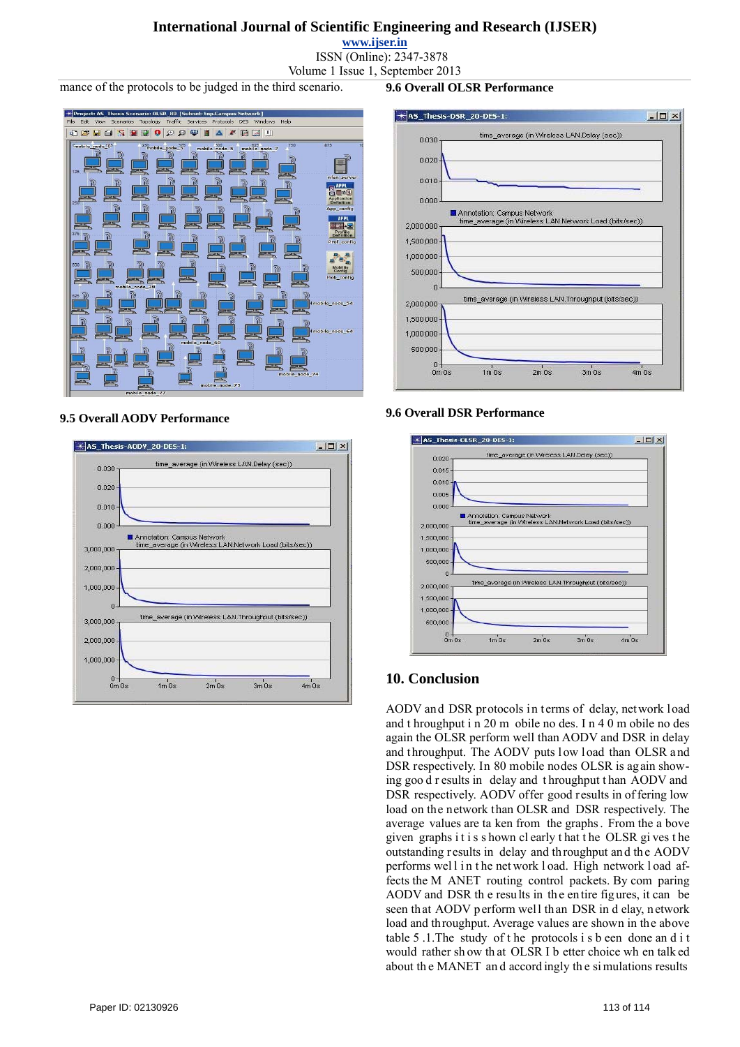**www.ijser.in**

ISSN (Online): 2347-3878 Volume 1 Issue 1, September 2013

mance of the protocols to be judged in the third scenario.



#### **9.5 Overall AODV Performance**



#### $-12 \times$ KAS\_Thesis-DSR\_20-DES-1: time\_average (in Wireless LAN.Delay (sec)) 0.030  $0.020$  $0.010$  $0.000$ Annotation: Campus Network time\_average (in Wireless LAN.Network Load (bits/sec)) 2,000,000 1,500,000 1,000,000 500,000  $\overline{0}$ average (in Wireless LAN.Throughput (bits/sec)) 2,000,000

 $2m$   $0s$ 

 $3m$  Os

 $4m$   $0s$ 

#### **9.6 Overall DSR Performance**

 $1m$ 0s

 $1,500,000$ 1,000,000 500,000

 $0m$   $0s$ 

**9.6 Overall OLSR Performance** 



## **10. Conclusion**

AODV and DSR protocols in terms of delay, network load and t hroughput i n 20 m obile no des. I n 4 0 m obile no des again the OLSR perform well than AODV and DSR in delay and throughput. The AODV puts low load than OLSR and DSR respectively. In 80 mobile nodes OLSR is again showing goo d r esults in delay and t hroughput t han AODV and DSR respectively. AODV offer good results in of fering low load on the network than OLSR and DSR respectively. The average values are ta ken from the graphs . From the a bove given graphs i t i s s hown cl early t hat t he OLSR gi ves t he outstanding results in delay and throughput and the AODV performs wel l i n t he net work l oad. High network l oad affects the M ANET routing control packets. By com paring AODV and DSR the results in the entire figures, it can be seen that AODV p erform well than DSR in d elay, network load and throughput. Average values are shown in the above table 5 .1.The study of t he protocols i s b een done an d i t would rather sh ow th at OLSR I b etter choice wh en talk ed about th e MANET an d accord ingly th e si mulations results